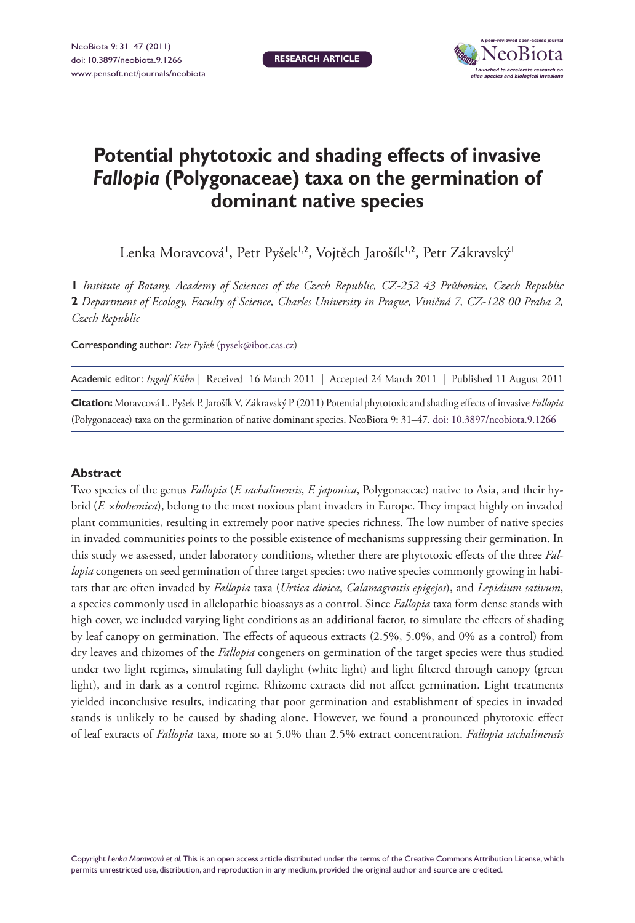

# **Potential phytotoxic and shading effects of invasive**  *Fallopia* **(Polygonaceae) taxa on the germination of dominant native species**

Lenka Moravcová', Petr Pyšek<sup>1,2</sup>, Vojtěch Jarošík<sup>1,2</sup>, Petr Zákravský<sup>1</sup>

**1** *Institute of Botany, Academy of Sciences of the Czech Republic, CZ-252 43 Průhonice, Czech Republic*  **2** *Department of Ecology, Faculty of Science, Charles University in Prague, Viničná 7, CZ-128 00 Praha 2, Czech Republic*

Corresponding author: *Petr Pyšek* [\(pysek@ibot.cas.cz\)](mailto:pysek@ibot.cas.cz)

| Academic editor: Ingolf Kühn   Received 16 March 2011   Accepted 24 March 2011   Published 11 August 2011 |  |  |
|-----------------------------------------------------------------------------------------------------------|--|--|
|-----------------------------------------------------------------------------------------------------------|--|--|

**Citation:** Moravcová L, Pyšek P, Jarošík V, Zákravský P (2011) Potential phytotoxic and shading effects of invasive *Fallopia* (Polygonaceae) taxa on the germination of native dominant species. NeoBiota 9: 31–47. [doi: 10.3897/neobiota.9.1266](http://dx.doi.org/10.3897/neobiota.9.1266)

#### **Abstract**

Two species of the genus *Fallopia* (*F. sachalinensis*, *F. japonica*, Polygonaceae) native to Asia, and their hybrid (*F. ×bohemica*), belong to the most noxious plant invaders in Europe. They impact highly on invaded plant communities, resulting in extremely poor native species richness. The low number of native species in invaded communities points to the possible existence of mechanisms suppressing their germination. In this study we assessed, under laboratory conditions, whether there are phytotoxic effects of the three *Fallopia* congeners on seed germination of three target species: two native species commonly growing in habitats that are often invaded by *Fallopia* taxa (*Urtica dioica*, *Calamagrostis epigejos*), and *Lepidium sativum*, a species commonly used in allelopathic bioassays as a control. Since *Fallopia* taxa form dense stands with high cover, we included varying light conditions as an additional factor, to simulate the effects of shading by leaf canopy on germination. The effects of aqueous extracts (2.5%, 5.0%, and 0% as a control) from dry leaves and rhizomes of the *Fallopia* congeners on germination of the target species were thus studied under two light regimes, simulating full daylight (white light) and light filtered through canopy (green light), and in dark as a control regime. Rhizome extracts did not affect germination. Light treatments yielded inconclusive results, indicating that poor germination and establishment of species in invaded stands is unlikely to be caused by shading alone. However, we found a pronounced phytotoxic effect of leaf extracts of *Fallopia* taxa, more so at 5.0% than 2.5% extract concentration. *Fallopia sachalinensis* 

Copyright *Lenka Moravcová et al.* This is an open access article distributed under the terms of the [Creative Commons Attribution License,](http://creativecommons.org/licenses/by/3.0/) which permits unrestricted use, distribution, and reproduction in any medium, provided the original author and source are credited.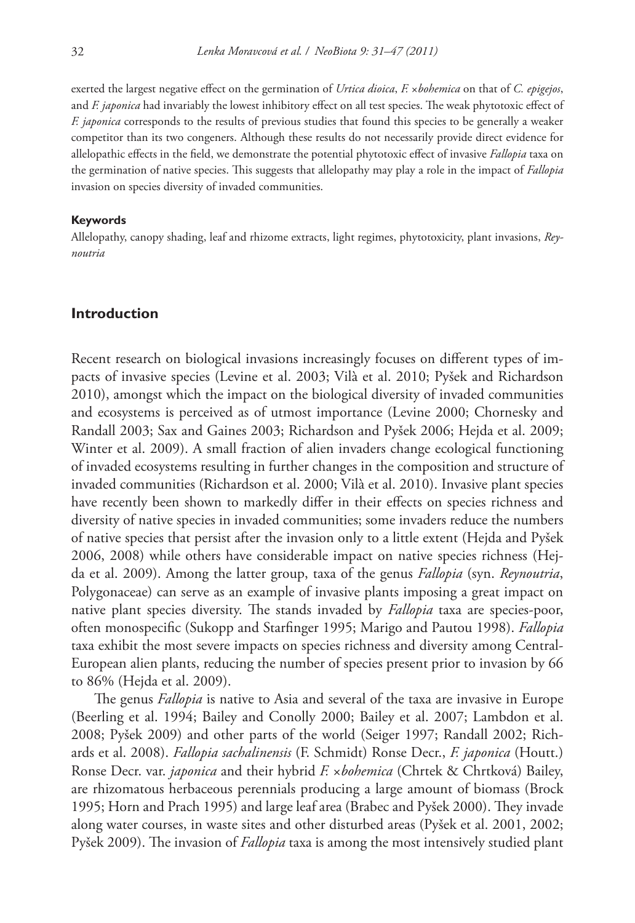exerted the largest negative effect on the germination of *Urtica dioica*, *F.* ×*bohemica* on that of *C. epigejos*, and *F. japonica* had invariably the lowest inhibitory effect on all test species. The weak phytotoxic effect of *F. japonica* corresponds to the results of previous studies that found this species to be generally a weaker competitor than its two congeners. Although these results do not necessarily provide direct evidence for allelopathic effects in the field, we demonstrate the potential phytotoxic effect of invasive *Fallopia* taxa on the germination of native species. This suggests that allelopathy may play a role in the impact of *Fallopia* invasion on species diversity of invaded communities.

#### **Keywords**

Allelopathy, canopy shading, leaf and rhizome extracts, light regimes, phytotoxicity, plant invasions, *Reynoutria*

## **Introduction**

Recent research on biological invasions increasingly focuses on different types of impacts of invasive species (Levine et al. 2003; Vilà et al. 2010; Pyšek and Richardson 2010), amongst which the impact on the biological diversity of invaded communities and ecosystems is perceived as of utmost importance (Levine 2000; Chornesky and Randall 2003; Sax and Gaines 2003; Richardson and Pyšek 2006; Hejda et al. 2009; Winter et al. 2009). A small fraction of alien invaders change ecological functioning of invaded ecosystems resulting in further changes in the composition and structure of invaded communities (Richardson et al. 2000; Vilà et al. 2010). Invasive plant species have recently been shown to markedly differ in their effects on species richness and diversity of native species in invaded communities; some invaders reduce the numbers of native species that persist after the invasion only to a little extent (Hejda and Pyšek 2006, 2008) while others have considerable impact on native species richness (Hejda et al. 2009). Among the latter group, taxa of the genus *Fallopia* (syn. *Reynoutria*, Polygonaceae) can serve as an example of invasive plants imposing a great impact on native plant species diversity. The stands invaded by *Fallopia* taxa are species-poor, often monospecific (Sukopp and Starfinger 1995; Marigo and Pautou 1998). *Fallopia* taxa exhibit the most severe impacts on species richness and diversity among Central-European alien plants, reducing the number of species present prior to invasion by 66 to 86% (Hejda et al. 2009).

The genus *Fallopia* is native to Asia and several of the taxa are invasive in Europe (Beerling et al. 1994; Bailey and Conolly 2000; Bailey et al. 2007; Lambdon et al. 2008; Pyšek 2009) and other parts of the world (Seiger 1997; Randall 2002; Richards et al. 2008). *Fallopia sachalinensis* (F. Schmidt) Ronse Decr., *F. japonica* (Houtt.) Ronse Decr. var. *japonica* and their hybrid *F.* ×*bohemica* (Chrtek & Chrtková) Bailey, are rhizomatous herbaceous perennials producing a large amount of biomass (Brock 1995; Horn and Prach 1995) and large leaf area (Brabec and Pyšek 2000). They invade along water courses, in waste sites and other disturbed areas (Pyšek et al. 2001, 2002; Pyšek 2009). The invasion of *Fallopia* taxa is among the most intensively studied plant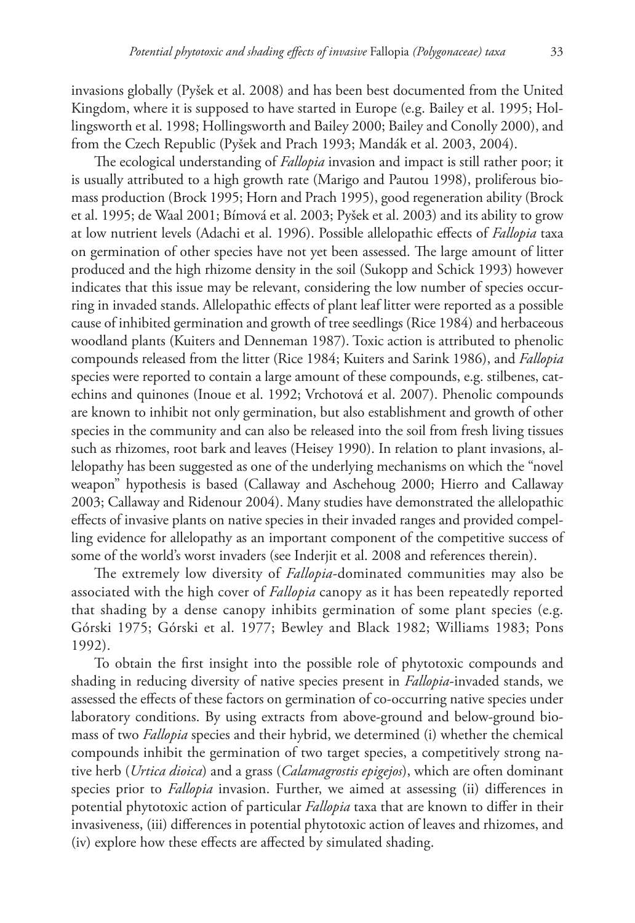invasions globally (Pyšek et al. 2008) and has been best documented from the United Kingdom, where it is supposed to have started in Europe (e.g. Bailey et al. 1995; Hollingsworth et al. 1998; Hollingsworth and Bailey 2000; Bailey and Conolly 2000), and from the Czech Republic (Pyšek and Prach 1993; Mandák et al. 2003, 2004).

The ecological understanding of *Fallopia* invasion and impact is still rather poor; it is usually attributed to a high growth rate (Marigo and Pautou 1998), proliferous biomass production (Brock 1995; Horn and Prach 1995), good regeneration ability (Brock et al. 1995; de Waal 2001; Bímová et al. 2003; Pyšek et al. 2003) and its ability to grow at low nutrient levels (Adachi et al. 1996). Possible allelopathic effects of *Fallopia* taxa on germination of other species have not yet been assessed. The large amount of litter produced and the high rhizome density in the soil (Sukopp and Schick 1993) however indicates that this issue may be relevant, considering the low number of species occurring in invaded stands. Allelopathic effects of plant leaf litter were reported as a possible cause of inhibited germination and growth of tree seedlings (Rice 1984) and herbaceous woodland plants (Kuiters and Denneman 1987). Toxic action is attributed to phenolic compounds released from the litter (Rice 1984; Kuiters and Sarink 1986), and *Fallopia* species were reported to contain a large amount of these compounds, e.g. stilbenes, catechins and quinones (Inoue et al. 1992; Vrchotová et al. 2007). Phenolic compounds are known to inhibit not only germination, but also establishment and growth of other species in the community and can also be released into the soil from fresh living tissues such as rhizomes, root bark and leaves (Heisey 1990). In relation to plant invasions, allelopathy has been suggested as one of the underlying mechanisms on which the "novel weapon" hypothesis is based (Callaway and Aschehoug 2000; Hierro and Callaway 2003; Callaway and Ridenour 2004). Many studies have demonstrated the allelopathic effects of invasive plants on native species in their invaded ranges and provided compelling evidence for allelopathy as an important component of the competitive success of some of the world's worst invaders (see Inderjit et al. 2008 and references therein).

The extremely low diversity of *Fallopia*-dominated communities may also be associated with the high cover of *Fallopia* canopy as it has been repeatedly reported that shading by a dense canopy inhibits germination of some plant species (e.g. Górski 1975; Górski et al. 1977; Bewley and Black 1982; Williams 1983; Pons 1992).

To obtain the first insight into the possible role of phytotoxic compounds and shading in reducing diversity of native species present in *Fallopia*-invaded stands, we assessed the effects of these factors on germination of co-occurring native species under laboratory conditions. By using extracts from above-ground and below-ground biomass of two *Fallopia* species and their hybrid, we determined (i) whether the chemical compounds inhibit the germination of two target species, a competitively strong native herb (*Urtica dioica*) and a grass (*Calamagrostis epigejos*), which are often dominant species prior to *Fallopia* invasion. Further, we aimed at assessing (ii) differences in potential phytotoxic action of particular *Fallopia* taxa that are known to differ in their invasiveness, (iii) differences in potential phytotoxic action of leaves and rhizomes, and (iv) explore how these effects are affected by simulated shading.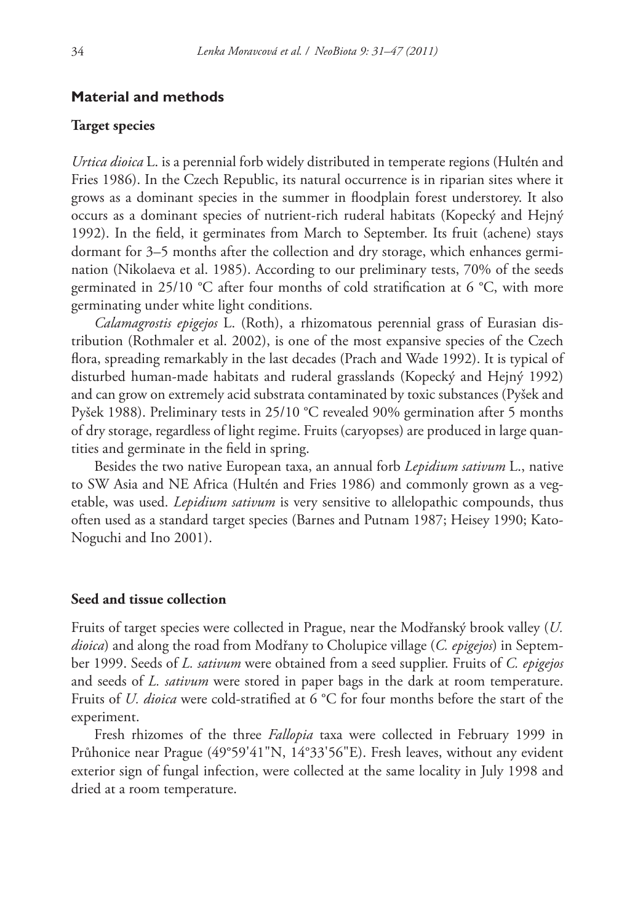#### **Material and methods**

### **Target species**

*Urtica dioica* L. is a perennial forb widely distributed in temperate regions (Hultén and Fries 1986). In the Czech Republic, its natural occurrence is in riparian sites where it grows as a dominant species in the summer in floodplain forest understorey. It also occurs as a dominant species of nutrient-rich ruderal habitats (Kopecký and Hejný 1992). In the field, it germinates from March to September. Its fruit (achene) stays dormant for 3–5 months after the collection and dry storage, which enhances germination (Nikolaeva et al. 1985). According to our preliminary tests, 70% of the seeds germinated in 25/10 °C after four months of cold stratification at 6 °C, with more germinating under white light conditions.

*Calamagrostis epigejos* L. (Roth), a rhizomatous perennial grass of Eurasian distribution (Rothmaler et al. 2002), is one of the most expansive species of the Czech flora, spreading remarkably in the last decades (Prach and Wade 1992). It is typical of disturbed human-made habitats and ruderal grasslands (Kopecký and Hejný 1992) and can grow on extremely acid substrata contaminated by toxic substances (Pyšek and Pyšek 1988). Preliminary tests in 25/10 °C revealed 90% germination after 5 months of dry storage, regardless of light regime. Fruits (caryopses) are produced in large quantities and germinate in the field in spring.

Besides the two native European taxa, an annual forb *Lepidium sativum* L., native to SW Asia and NE Africa (Hultén and Fries 1986) and commonly grown as a vegetable, was used. *Lepidium sativum* is very sensitive to allelopathic compounds, thus often used as a standard target species (Barnes and Putnam 1987; Heisey 1990; Kato-Noguchi and Ino 2001).

#### **Seed and tissue collection**

Fruits of target species were collected in Prague, near the Modřanský brook valley (*U. dioica*) and along the road from Modřany to Cholupice village (*C. epigejos*) in September 1999. Seeds of *L. sativum* were obtained from a seed supplier. Fruits of *C. epigejos* and seeds of *L. sativum* were stored in paper bags in the dark at room temperature. Fruits of *U. dioica* were cold-stratified at 6 °C for four months before the start of the experiment.

Fresh rhizomes of the three *Fallopia* taxa were collected in February 1999 in Průhonice near Prague (49°59'41"N, 14°33'56"E). Fresh leaves, without any evident exterior sign of fungal infection, were collected at the same locality in July 1998 and dried at a room temperature.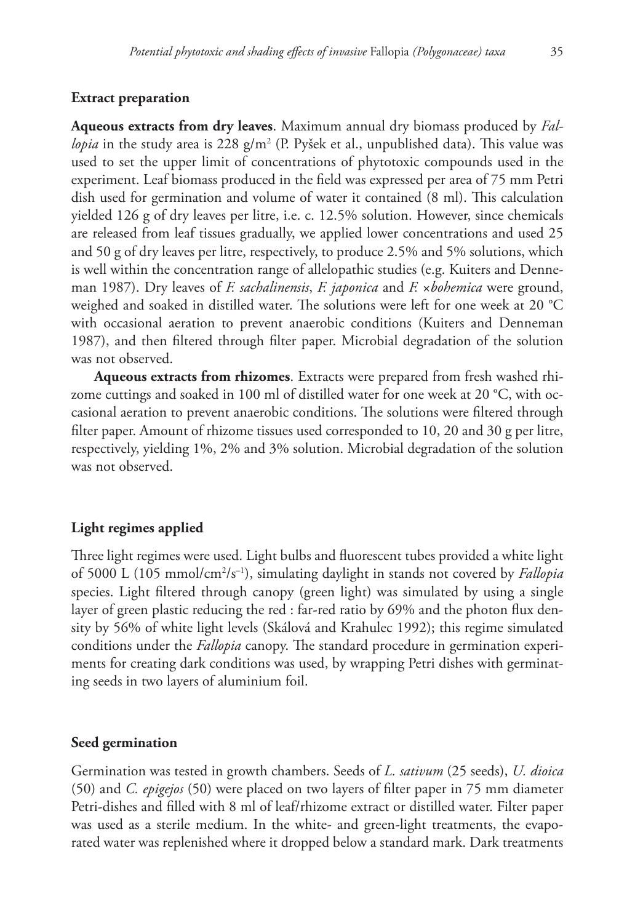#### **Extract preparation**

**Aqueous extracts from dry leaves**. Maximum annual dry biomass produced by *Fallopia* in the study area is 228 g/m² (P. Pyšek et al., unpublished data). This value was used to set the upper limit of concentrations of phytotoxic compounds used in the experiment. Leaf biomass produced in the field was expressed per area of 75 mm Petri dish used for germination and volume of water it contained (8 ml). This calculation yielded 126 g of dry leaves per litre, i.e. c. 12.5% solution. However, since chemicals are released from leaf tissues gradually, we applied lower concentrations and used 25 and 50 g of dry leaves per litre, respectively, to produce 2.5% and 5% solutions, which is well within the concentration range of allelopathic studies (e.g. Kuiters and Denneman 1987). Dry leaves of *F. sachalinensis*, *F. japonica* and *F.* ×*bohemica* were ground, weighed and soaked in distilled water. The solutions were left for one week at 20 °C with occasional aeration to prevent anaerobic conditions (Kuiters and Denneman 1987), and then filtered through filter paper. Microbial degradation of the solution was not observed.

**Aqueous extracts from rhizomes**. Extracts were prepared from fresh washed rhizome cuttings and soaked in 100 ml of distilled water for one week at 20 °C, with occasional aeration to prevent anaerobic conditions. The solutions were filtered through filter paper. Amount of rhizome tissues used corresponded to 10, 20 and 30 g per litre, respectively, yielding 1%, 2% and 3% solution. Microbial degradation of the solution was not observed.

#### **Light regimes applied**

Three light regimes were used. Light bulbs and fluorescent tubes provided a white light of 5000 L (105 mmol/cm2 /s–1), simulating daylight in stands not covered by *Fallopia* species. Light filtered through canopy (green light) was simulated by using a single layer of green plastic reducing the red : far-red ratio by 69% and the photon flux density by 56% of white light levels (Skálová and Krahulec 1992); this regime simulated conditions under the *Fallopia* canopy. The standard procedure in germination experiments for creating dark conditions was used, by wrapping Petri dishes with germinating seeds in two layers of aluminium foil.

## **Seed germination**

Germination was tested in growth chambers. Seeds of *L. sativum* (25 seeds), *U. dioica* (50) and *C. epigejos* (50) were placed on two layers of filter paper in 75 mm diameter Petri-dishes and filled with 8 ml of leaf/rhizome extract or distilled water. Filter paper was used as a sterile medium. In the white- and green-light treatments, the evaporated water was replenished where it dropped below a standard mark. Dark treatments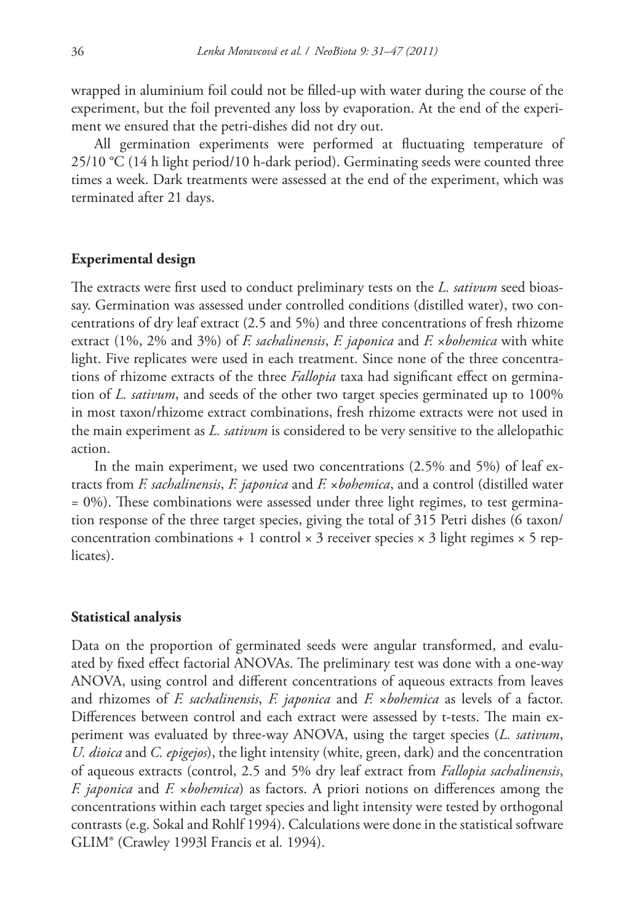wrapped in aluminium foil could not be filled-up with water during the course of the experiment, but the foil prevented any loss by evaporation. At the end of the experiment we ensured that the petri-dishes did not dry out.

All germination experiments were performed at fluctuating temperature of 25/10 °C (14 h light period/10 h-dark period). Germinating seeds were counted three times a week. Dark treatments were assessed at the end of the experiment, which was terminated after 21 days.

#### **Experimental design**

The extracts were first used to conduct preliminary tests on the *L. sativum* seed bioassay. Germination was assessed under controlled conditions (distilled water), two concentrations of dry leaf extract (2.5 and 5%) and three concentrations of fresh rhizome extract (1%, 2% and 3%) of *F. sachalinensis*, *F. japonica* and *F.* ×*bohemica* with white light. Five replicates were used in each treatment. Since none of the three concentrations of rhizome extracts of the three *Fallopia* taxa had significant effect on germination of *L. sativum*, and seeds of the other two target species germinated up to 100% in most taxon/rhizome extract combinations, fresh rhizome extracts were not used in the main experiment as *L. sativum* is considered to be very sensitive to the allelopathic action.

In the main experiment, we used two concentrations (2.5% and 5%) of leaf extracts from *F. sachalinensis*, *F. japonica* and *F.* ×*bohemica*, and a control (distilled water  $= 0\%$ ). These combinations were assessed under three light regimes, to test germination response of the three target species, giving the total of 315 Petri dishes (6 taxon/ concentration combinations + 1 control  $\times$  3 receiver species  $\times$  3 light regimes  $\times$  5 replicates).

#### **Statistical analysis**

Data on the proportion of germinated seeds were angular transformed, and evaluated by fixed effect factorial ANOVAs. The preliminary test was done with a one-way ANOVA, using control and different concentrations of aqueous extracts from leaves and rhizomes of *F. sachalinensis*, *F. japonica* and *F.* ×*bohemica* as levels of a factor. Differences between control and each extract were assessed by t-tests. The main experiment was evaluated by three-way ANOVA, using the target species (*L. sativum*, *U. dioica* and *C. epigejos*), the light intensity (white, green, dark) and the concentration of aqueous extracts (control, 2.5 and 5% dry leaf extract from *Fallopia sachalinensis*, *F. japonica* and *F.* ×*bohemica*) as factors. A priori notions on differences among the concentrations within each target species and light intensity were tested by orthogonal contrasts (e.g. Sokal and Rohlf 1994). Calculations were done in the statistical software GLIM® (Crawley 1993l Francis et al*.* 1994).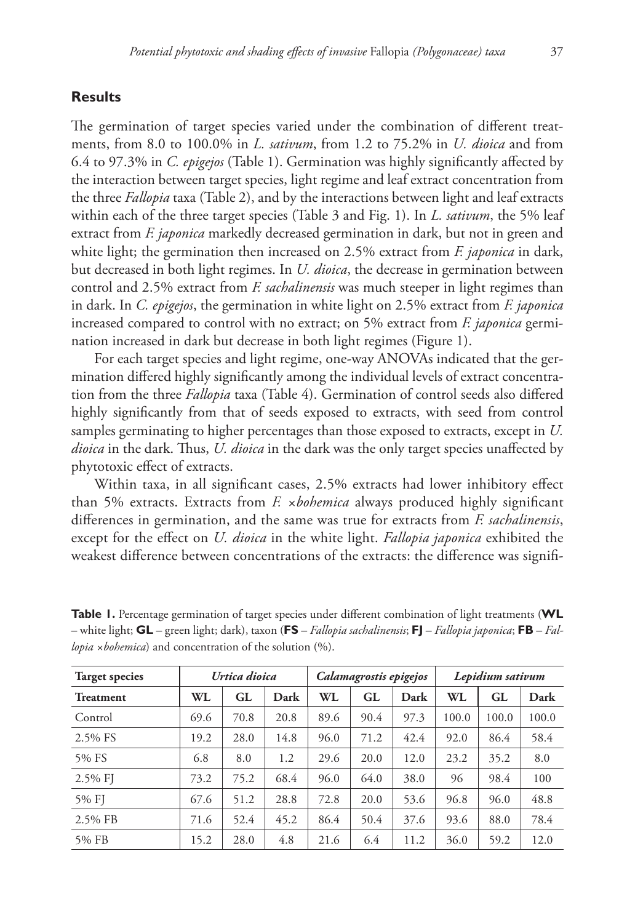## **Results**

The germination of target species varied under the combination of different treatments, from 8.0 to 100.0% in *L. sativum*, from 1.2 to 75.2% in *U. dioica* and from 6.4 to 97.3% in *C. epigejos* (Table 1). Germination was highly significantly affected by the interaction between target species, light regime and leaf extract concentration from the three *Fallopia* taxa (Table 2), and by the interactions between light and leaf extracts within each of the three target species (Table 3 and Fig. 1). In *L. sativum*, the 5% leaf extract from *F. japonica* markedly decreased germination in dark, but not in green and white light; the germination then increased on 2.5% extract from *F. japonica* in dark, but decreased in both light regimes. In *U. dioica*, the decrease in germination between control and 2.5% extract from *F. sachalinensis* was much steeper in light regimes than in dark. In *C. epigejos*, the germination in white light on 2.5% extract from *F. japonica* increased compared to control with no extract; on 5% extract from *F. japonica* germination increased in dark but decrease in both light regimes (Figure 1).

For each target species and light regime, one-way ANOVAs indicated that the germination differed highly significantly among the individual levels of extract concentration from the three *Fallopia* taxa (Table 4). Germination of control seeds also differed highly significantly from that of seeds exposed to extracts, with seed from control samples germinating to higher percentages than those exposed to extracts, except in *U. dioica* in the dark. Thus, *U. dioica* in the dark was the only target species unaffected by phytotoxic effect of extracts.

Within taxa, in all significant cases, 2.5% extracts had lower inhibitory effect than 5% extracts. Extracts from *F. ×bohemica* always produced highly significant differences in germination, and the same was true for extracts from *F. sachalinensis*, except for the effect on *U. dioica* in the white light. *Fallopia japonica* exhibited the weakest difference between concentrations of the extracts: the difference was signifi-

| <b>Target species</b> |      | Urtica dioica |      |      | Calamagrostis epigejos |      |       | Lepidium sativum |       |
|-----------------------|------|---------------|------|------|------------------------|------|-------|------------------|-------|
| <b>Treatment</b>      | WL   | GL            | Dark | WL   | GL                     | Dark | WL.   | GL               | Dark  |
| Control               | 69.6 | 70.8          | 20.8 | 89.6 | 90.4                   | 97.3 | 100.0 | 100.0            | 100.0 |
| 2.5% FS               | 19.2 | 28.0          | 14.8 | 96.0 | 71.2                   | 42.4 | 92.0  | 86.4             | 58.4  |
| 5% FS                 | 6.8  | 8.0           | 1.2  | 29.6 | 20.0                   | 12.0 | 23.2  | 35.2             | 8.0   |
| $2.5\%$ FJ            | 73.2 | 75.2          | 68.4 | 96.0 | 64.0                   | 38.0 | 96    | 98.4             | 100   |
| 5% FJ                 | 67.6 | 51.2          | 28.8 | 72.8 | 20.0                   | 53.6 | 96.8  | 96.0             | 48.8  |
| 2.5% FB               | 71.6 | 52.4          | 45.2 | 86.4 | 50.4                   | 37.6 | 93.6  | 88.0             | 78.4  |
| 5% FB                 | 15.2 | 28.0          | 4.8  | 21.6 | 6.4                    | 11.2 | 36.0  | 59.2             | 12.0  |

**Table 1.** Percentage germination of target species under different combination of light treatments (**WL** – white light; **GL** – green light; dark), taxon (**FS** – *Fallopia sachalinensis*; **FJ** – *Fallopia japonica*; **FB** – *Fallopia ×bohemica*) and concentration of the solution (%).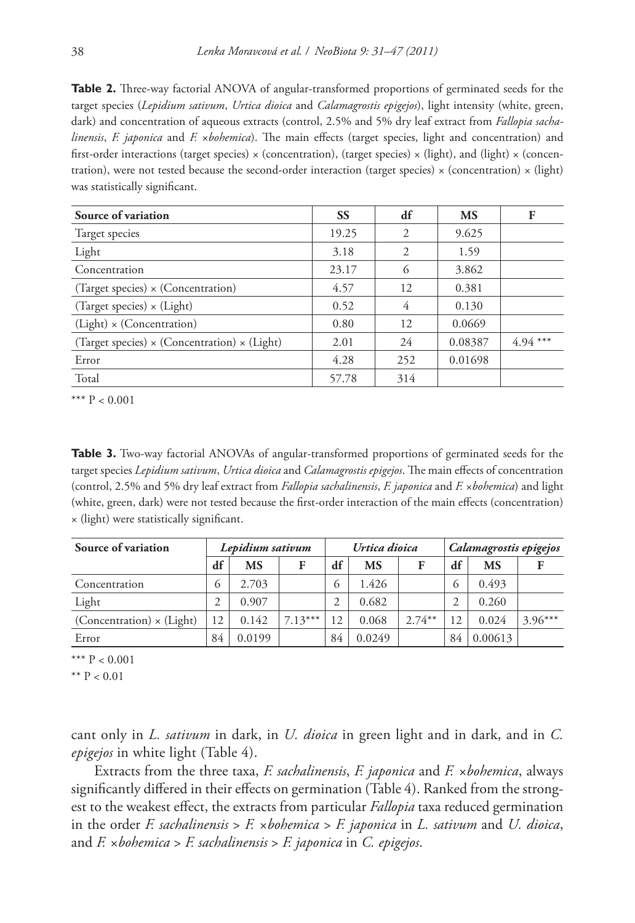**Table 2.** Three-way factorial ANOVA of angular-transformed proportions of germinated seeds for the target species (*Lepidium sativum*, *Urtica dioica* and *Calamagrostis epigejos*), light intensity (white, green, dark) and concentration of aqueous extracts (control, 2.5% and 5% dry leaf extract from *Fallopia sachalinensis*, *F. japonica* and *F.* ×*bohemica*). The main effects (target species, light and concentration) and first-order interactions (target species)  $\times$  (concentration), (target species)  $\times$  (light), and (light)  $\times$  (concentration), were not tested because the second-order interaction (target species)  $\times$  (concentration)  $\times$  (light) was statistically significant.

| Source of variation                                        | <b>SS</b> | df                          | <b>MS</b> | F         |
|------------------------------------------------------------|-----------|-----------------------------|-----------|-----------|
| Target species                                             | 19.25     | $\mathcal{D}_{\mathcal{A}}$ | 9.625     |           |
| Light                                                      | 3.18      | 2                           | 1.59      |           |
| Concentration                                              | 23.17     | $^{(1)}$                    | 3.862     |           |
| (Target species) $\times$ (Concentration)                  | 4.57      | 12                          | 0.381     |           |
| (Target species) $\times$ (Light)                          | 0.52      | 4                           | 0.130     |           |
| $(Light) \times (Concentration)$                           | 0.80      | 12                          | 0.0669    |           |
| (Target species) $\times$ (Concentration) $\times$ (Light) | 2.01      | 24                          | 0.08387   | $4.94***$ |
| Error                                                      | 4.28      | 252                         | 0.01698   |           |
| Total                                                      | 57.78     | 314                         |           |           |

\*\*\*  $P < 0.001$ 

**Table 3.** Two-way factorial ANOVAs of angular-transformed proportions of germinated seeds for the target species *Lepidium sativum*, *Urtica dioica* and *Calamagrostis epigejos*. The main effects of concentration (control, 2.5% and 5% dry leaf extract from *Fallopia sachalinensis*, *F. japonica* and *F.* ×*bohemica*) and light (white, green, dark) were not tested because the first-order interaction of the main effects (concentration) × (light) were statistically significant.

| Source of variation              |               | Lepidium sativum |           |               | Urtica dioica |           |               | Calamagrostis epigejos |           |
|----------------------------------|---------------|------------------|-----------|---------------|---------------|-----------|---------------|------------------------|-----------|
|                                  | df            | <b>MS</b>        | F         | df            | <b>MS</b>     |           | df            | MS                     |           |
| Concentration                    | $\circ$       | 2.703            |           | $\circ$       | 1.426         |           | $\circ$       | 0.493                  |           |
| Light                            | $\mathcal{D}$ | 0.907            |           | $\mathcal{D}$ | 0.682         |           | $\mathcal{D}$ | 0.260                  |           |
| $(Concentration) \times (Light)$ | 12            | 0.142            | $7.13***$ | 12            | 0.068         | $2.74***$ | 12            | 0.024                  | $3.96***$ |
| Error                            | 84            | 0.0199           |           | 84            | 0.0249        |           | 84            | 0.00613                |           |

\*\*\*  $P < 0.001$ 

\*\*  $P < 0.01$ 

cant only in *L. sativum* in dark, in *U. dioica* in green light and in dark, and in *C. epigejos* in white light (Table 4).

Extracts from the three taxa, *F. sachalinensis*, *F. japonica* and *F. ×bohemica*, always significantly differed in their effects on germination (Table 4). Ranked from the strongest to the weakest effect, the extracts from particular *Fallopia* taxa reduced germination in the order *F. sachalinensis* > *F. ×bohemica* > *F. japonica* in *L. sativum* and *U. dioica*, and *F. ×bohemica* > *F. sachalinensis* > *F. japonica* in *C. epigejos*.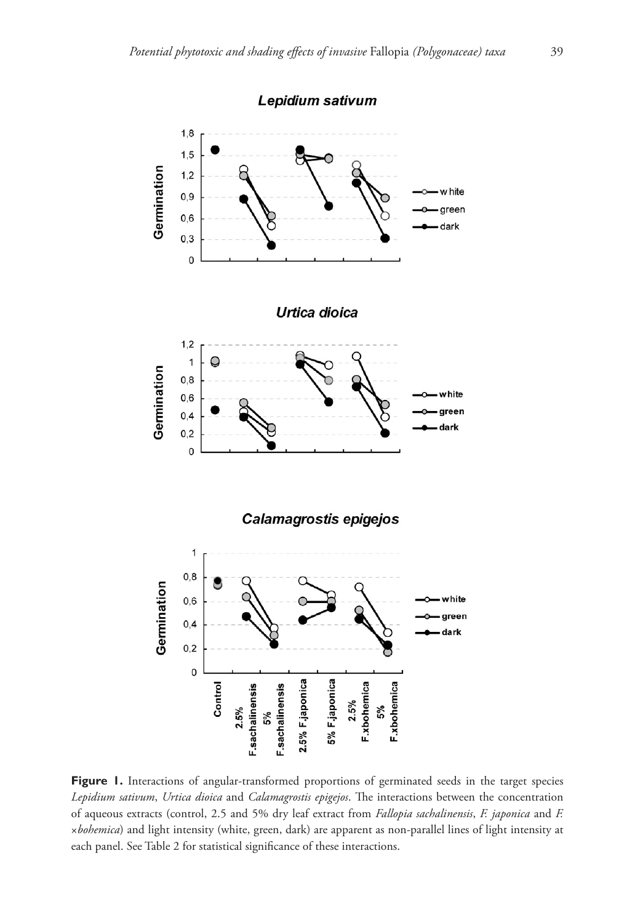

Figure 1. Interactions of angular-transformed proportions of germinated seeds in the target species *Lepidium sativum*, *Urtica dioica* and *Calamagrostis epigejos*. The interactions between the concentration of aqueous extracts (control, 2.5 and 5% dry leaf extract from *Fallopia sachalinensis*, *F. japonica* and *F.*  ×*bohemica*) and light intensity (white, green, dark) are apparent as non-parallel lines of light intensity at each panel. See Table 2 for statistical significance of these interactions.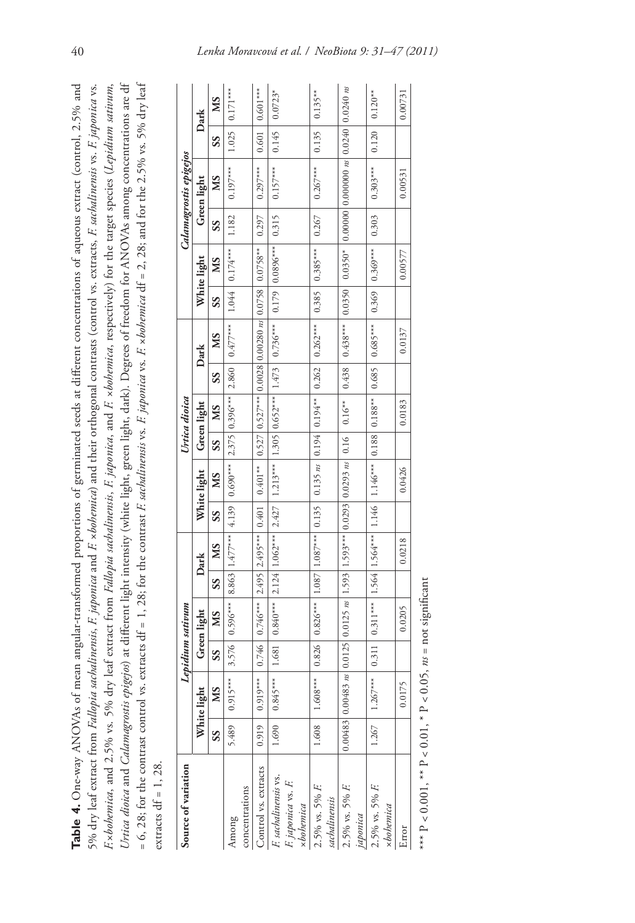| Table 4. One-way ANOVAs of mean angular-transformed proportions of germinated seeds at different concentrations of aqueous extract (control, 2.5% and                                           |
|-------------------------------------------------------------------------------------------------------------------------------------------------------------------------------------------------|
| 5% dry leaf extract from <i>Fallopia sachalinensis, F. japonica</i> and <i>F. ×bohemica</i> ) and their orthogonal contrasts (control vs. extracts, F. sachalinensis vs. F. japonica vs.        |
| Exbohemica, and 2.5% vs. 5% dry leaf extract from Fallopia sachalinensis, E japonica, and E xbohemica, respectively) for the target species (Lepidium sativum,                                  |
| <i>htica dioica</i> and <i>Calamagrostis epigejos</i> ) at different light intensity (white light, green light, dark). Degrees of freedom for ANOVAs among concentrations are df                |
| = 6, 28; for the contrast control vs. extracts df = 1, 28; for the contrast <i>F. sachalinensis</i> vs. <i>F. japonica</i> vs. <i>F. xbohemica</i> df = 2, 28; and for the 2.5% vs. 5% dry leaf |
| extracts $df = 1$ , 28.                                                                                                                                                                         |

| Source of variation                                              |       |                                                                                                |       | Lepidium sativum                                                                                       |                          |        |       |             |    | Urtica dioica |       |                                                                     |        |                     |       | Calamagrostis epigejos |                   |                       |
|------------------------------------------------------------------|-------|------------------------------------------------------------------------------------------------|-------|--------------------------------------------------------------------------------------------------------|--------------------------|--------|-------|-------------|----|---------------|-------|---------------------------------------------------------------------|--------|---------------------|-------|------------------------|-------------------|-----------------------|
|                                                                  |       | White light                                                                                    |       | Green light                                                                                            |                          | Dark   |       | White light |    | Green light   |       | Dark                                                                |        | White light         |       | Green light            |                   | Dark                  |
|                                                                  | SS    | SN                                                                                             | SS    | MS                                                                                                     | $\overline{\mathcal{S}}$ | MS     | SS    | MS          | SS | MS            | SS    | SM                                                                  | SS     | MS                  | SS    | МS                     | SS                | SM                    |
| concentrations<br>Among                                          | 5.489 | $0.915***$                                                                                     | 3.576 | $0.596***$ 8.863 1.477***                                                                              |                          |        |       |             |    |               |       | $4.139$   $0.690***$   $2.375$   $0.396***$   $2.860$   $0.477***$  | 1.044  | $0.174***$          | 1.182 | $0.197***$             | $\sim 1.025$ $\,$ | $0.171***$            |
| Control vs. extracts                                             | 0.919 | $0.919***$                                                                                     | 0.746 | $0.746***$ 2.495 2.495 <sup>***</sup>                                                                  |                          |        | 0.401 | $0.401***$  |    |               |       | $0.527   0.527***  0.0028   0.00280 \text{ ns}   0.0758  $          |        | $0.0758**$          | 0.297 | $0.297***$             | 0.601             | $0.601***$            |
| F. sachalinensis vs.<br>F. japonica vs. F.<br>$\times b$ ohemica | 1.690 | $0.845***$                                                                                     | 1.681 | $0.840***$   $2.124$   $1.062***$   $2.427$   $1.213***$   $1.305$   $0.652***$   $1.473$   $0.736***$ |                          |        |       |             |    |               |       |                                                                     |        | $0.179$   0.0896*** | 0.315 | $0.157***$             | 0.145             | $0.0723*$             |
| 2.5% vs. 5% F.<br>sachalinensis                                  | 1.608 | $1.608***$                                                                                     |       | $0.826$   $0.826***$   $1.087$   $1.087***$   0.135                                                    |                          |        |       |             |    |               |       | $0.135 \text{ ns}$ $0.194 \mid 0.194^* \mid 0.262 \mid 0.262^{***}$ | 0.385  | $0.385***$          | 0.267 | $0.267***$             | 0.135             | $0.135***$            |
| 2.5% vs. 5% F.<br>japonica                                       |       | $0.00483$   $0.00483$ ns $ 0.0125 $   0.0125 ns   1.593   1.593***   0.0293   0.0293 ns   0.16 |       |                                                                                                        |                          |        |       |             |    | $0.16***$     | 0.438 | $0.438***$                                                          | 0.0350 | $0.0350*$           |       |                        |                   | $0.0240 \; \text{ns}$ |
| 2.5% vs. 5% F.<br>$\times b$ ohemica                             | 1.267 | $1.267***$                                                                                     |       | $0.311 \mid 0.311*** \mid 1.564 \mid 1.146 \mid 1.146* \mid 0.188 \mid 0.188*** \mid 0.685 \mid$       |                          |        |       |             |    |               |       | $0.685***$                                                          | 0.369  | $0.369***$          | 0.303 | $0.303***$             | 0.120             | $0.120**$             |
| Error                                                            |       | 0.0175                                                                                         |       | 0.0205                                                                                                 |                          | 0.0218 |       | 0.0426      |    | 0.0183        |       | 0.0137                                                              |        | 0.00577             |       | 0.00531                |                   | 0.00731               |

A<br>
\*\*\* P < 0.001, \*\* P < 0.01, \* P < 0.05,  $n_s$  = not significant \*\*\* P < 0.001, \*\* P < 0.01, \* P < 0.05, *ns* = not significant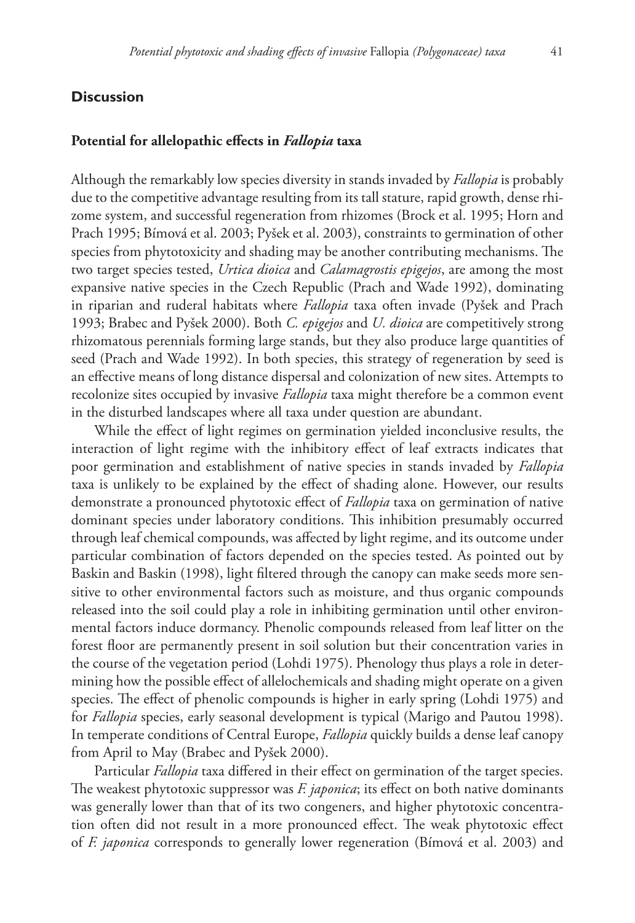# **Discussion**

## **Potential for allelopathic effects in** *Fallopia* **taxa**

Although the remarkably low species diversity in stands invaded by *Fallopia* is probably due to the competitive advantage resulting from its tall stature, rapid growth, dense rhizome system, and successful regeneration from rhizomes (Brock et al. 1995; Horn and Prach 1995; Bímová et al. 2003; Pyšek et al. 2003), constraints to germination of other species from phytotoxicity and shading may be another contributing mechanisms. The two target species tested, *Urtica dioica* and *Calamagrostis epigejos*, are among the most expansive native species in the Czech Republic (Prach and Wade 1992), dominating in riparian and ruderal habitats where *Fallopia* taxa often invade (Pyšek and Prach 1993; Brabec and Pyšek 2000). Both *C. epigejos* and *U. dioica* are competitively strong rhizomatous perennials forming large stands, but they also produce large quantities of seed (Prach and Wade 1992). In both species, this strategy of regeneration by seed is an effective means of long distance dispersal and colonization of new sites. Attempts to recolonize sites occupied by invasive *Fallopia* taxa might therefore be a common event in the disturbed landscapes where all taxa under question are abundant.

While the effect of light regimes on germination yielded inconclusive results, the interaction of light regime with the inhibitory effect of leaf extracts indicates that poor germination and establishment of native species in stands invaded by *Fallopia* taxa is unlikely to be explained by the effect of shading alone. However, our results demonstrate a pronounced phytotoxic effect of *Fallopia* taxa on germination of native dominant species under laboratory conditions. This inhibition presumably occurred through leaf chemical compounds, was affected by light regime, and its outcome under particular combination of factors depended on the species tested. As pointed out by Baskin and Baskin (1998), light filtered through the canopy can make seeds more sensitive to other environmental factors such as moisture, and thus organic compounds released into the soil could play a role in inhibiting germination until other environmental factors induce dormancy. Phenolic compounds released from leaf litter on the forest floor are permanently present in soil solution but their concentration varies in the course of the vegetation period (Lohdi 1975). Phenology thus plays a role in determining how the possible effect of allelochemicals and shading might operate on a given species. The effect of phenolic compounds is higher in early spring (Lohdi 1975) and for *Fallopia* species, early seasonal development is typical (Marigo and Pautou 1998). In temperate conditions of Central Europe, *Fallopia* quickly builds a dense leaf canopy from April to May (Brabec and Pyšek 2000).

Particular *Fallopia* taxa differed in their effect on germination of the target species. The weakest phytotoxic suppressor was *F. japonica*; its effect on both native dominants was generally lower than that of its two congeners, and higher phytotoxic concentration often did not result in a more pronounced effect. The weak phytotoxic effect of *F. japonica* corresponds to generally lower regeneration (Bímová et al. 2003) and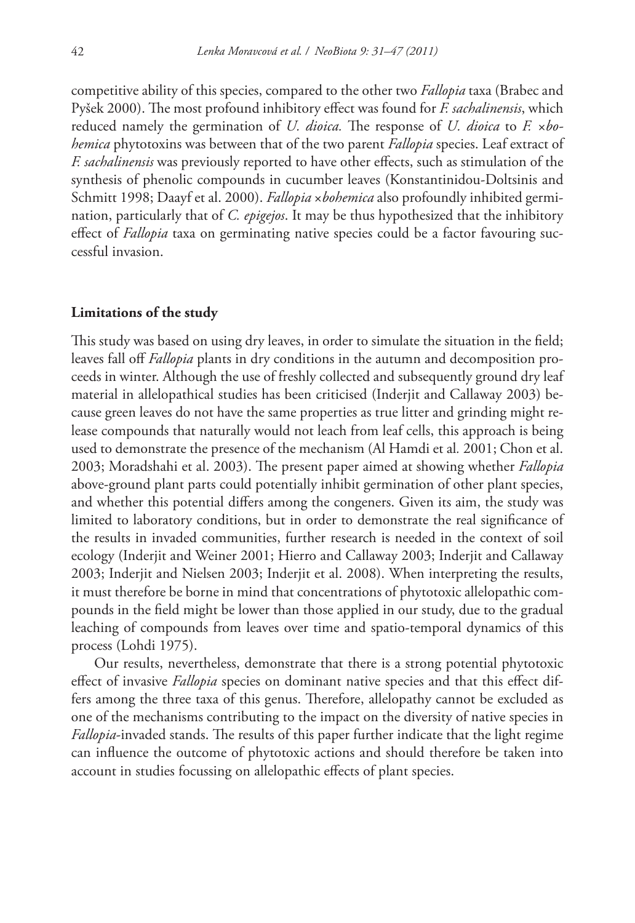competitive ability of this species, compared to the other two *Fallopia* taxa (Brabec and Pyšek 2000). The most profound inhibitory effect was found for *F. sachalinensis*, which reduced namely the germination of *U. dioica.* The response of *U. dioica* to *F. ×bohemica* phytotoxins was between that of the two parent *Fallopia* species. Leaf extract of *F. sachalinensis* was previously reported to have other effects, such as stimulation of the synthesis of phenolic compounds in cucumber leaves (Konstantinidou-Doltsinis and Schmitt 1998; Daayf et al. 2000). *Fallopia* ×*bohemica* also profoundly inhibited germination, particularly that of *C. epigejos*. It may be thus hypothesized that the inhibitory effect of *Fallopia* taxa on germinating native species could be a factor favouring successful invasion.

#### **Limitations of the study**

This study was based on using dry leaves, in order to simulate the situation in the field; leaves fall off *Fallopia* plants in dry conditions in the autumn and decomposition proceeds in winter. Although the use of freshly collected and subsequently ground dry leaf material in allelopathical studies has been criticised (Inderjit and Callaway 2003) because green leaves do not have the same properties as true litter and grinding might release compounds that naturally would not leach from leaf cells, this approach is being used to demonstrate the presence of the mechanism (Al Hamdi et al*.* 2001; Chon et al. 2003; Moradshahi et al. 2003). The present paper aimed at showing whether *Fallopia* above-ground plant parts could potentially inhibit germination of other plant species, and whether this potential differs among the congeners. Given its aim, the study was limited to laboratory conditions, but in order to demonstrate the real significance of the results in invaded communities, further research is needed in the context of soil ecology (Inderjit and Weiner 2001; Hierro and Callaway 2003; Inderjit and Callaway 2003; Inderjit and Nielsen 2003; Inderjit et al. 2008). When interpreting the results, it must therefore be borne in mind that concentrations of phytotoxic allelopathic compounds in the field might be lower than those applied in our study, due to the gradual leaching of compounds from leaves over time and spatio-temporal dynamics of this process (Lohdi 1975).

Our results, nevertheless, demonstrate that there is a strong potential phytotoxic effect of invasive *Fallopia* species on dominant native species and that this effect differs among the three taxa of this genus. Therefore, allelopathy cannot be excluded as one of the mechanisms contributing to the impact on the diversity of native species in *Fallopia*-invaded stands. The results of this paper further indicate that the light regime can influence the outcome of phytotoxic actions and should therefore be taken into account in studies focussing on allelopathic effects of plant species.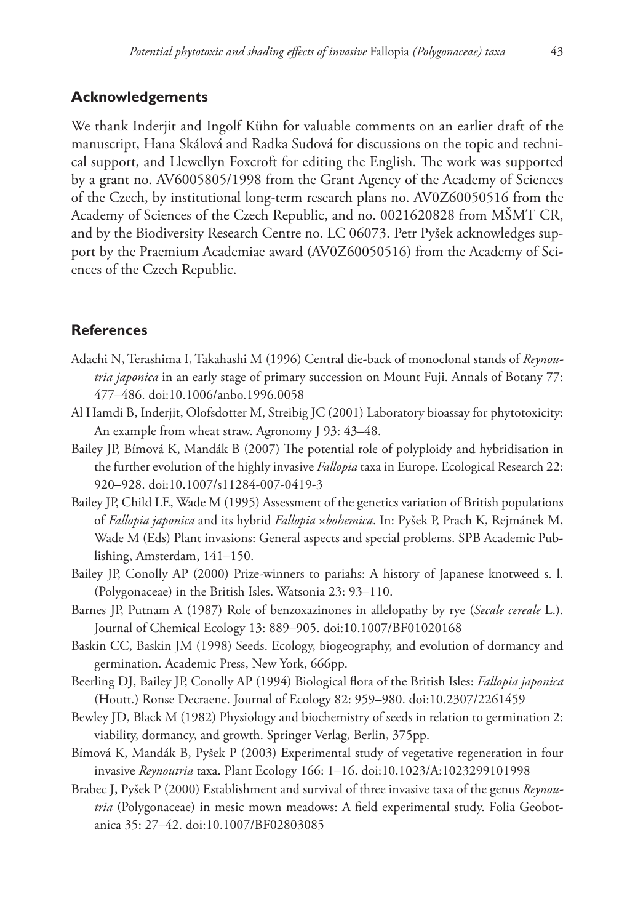## **Acknowledgements**

We thank Inderjit and Ingolf Kühn for valuable comments on an earlier draft of the manuscript, Hana Skálová and Radka Sudová for discussions on the topic and technical support, and Llewellyn Foxcroft for editing the English. The work was supported by a grant no. AV6005805/1998 from the Grant Agency of the Academy of Sciences of the Czech, by institutional long-term research plans no. AV0Z60050516 from the Academy of Sciences of the Czech Republic, and no. 0021620828 from MŠMT CR, and by the Biodiversity Research Centre no. LC 06073. Petr Pyšek acknowledges support by the Praemium Academiae award (AV0Z60050516) from the Academy of Sciences of the Czech Republic.

## **References**

- Adachi N, Terashima I, Takahashi M (1996) Central die-back of monoclonal stands of *Reynoutria japonica* in an early stage of primary succession on Mount Fuji. Annals of Botany 77: 477–486. [doi:10.1006/anbo.1996.0058](http://dx.doi.org/10.1006/anbo.1996.0058)
- Al Hamdi B, Inderjit, Olofsdotter M, Streibig JC (2001) Laboratory bioassay for phytotoxicity: An example from wheat straw. Agronomy J 93: 43–48.
- Bailey JP, Bímová K, Mandák B (2007) The potential role of polyploidy and hybridisation in the further evolution of the highly invasive *Fallopia* taxa in Europe. Ecological Research 22: 920–928. [doi:10.1007/s11284-007-0419-3](http://dx.doi.org/10.1007/s11284-007-0419-3)
- Bailey JP, Child LE, Wade M (1995) Assessment of the genetics variation of British populations of *Fallopia japonica* and its hybrid *Fallopia* ×*bohemica*. In: Pyšek P, Prach K, Rejmánek M, Wade M (Eds) Plant invasions: General aspects and special problems. SPB Academic Publishing, Amsterdam, 141–150.
- Bailey JP, Conolly AP (2000) Prize-winners to pariahs: A history of Japanese knotweed s. l. (Polygonaceae) in the British Isles. Watsonia 23: 93–110.
- Barnes JP, Putnam A (1987) Role of benzoxazinones in allelopathy by rye (*Secale cereale* L.). Journal of Chemical Ecology 13: 889–905. [doi:10.1007/BF01020168](http://dx.doi.org/10.1007/BF01020168)
- Baskin CC, Baskin JM (1998) Seeds. Ecology, biogeography, and evolution of dormancy and germination. Academic Press, New York, 666pp.
- Beerling DJ, Bailey JP, Conolly AP (1994) Biological flora of the British Isles: *Fallopia japonica* (Houtt.) Ronse Decraene. Journal of Ecology 82: 959–980. [doi:10.2307/2261459](http://dx.doi.org/10.2307/2261459)
- Bewley JD, Black M (1982) Physiology and biochemistry of seeds in relation to germination 2: viability, dormancy, and growth. Springer Verlag, Berlin, 375pp.
- Bímová K, Mandák B, Pyšek P (2003) Experimental study of vegetative regeneration in four invasive *Reynoutria* taxa. Plant Ecology 166: 1–16. [doi:10.1023/A:1023299101998](http://dx.doi.org/10.1023/A:1023299101998)
- Brabec J, Pyšek P (2000) Establishment and survival of three invasive taxa of the genus *Reynoutria* (Polygonaceae) in mesic mown meadows: A field experimental study. Folia Geobotanica 35: 27–42. [doi:10.1007/BF02803085](http://dx.doi.org/10.1007/BF02803085)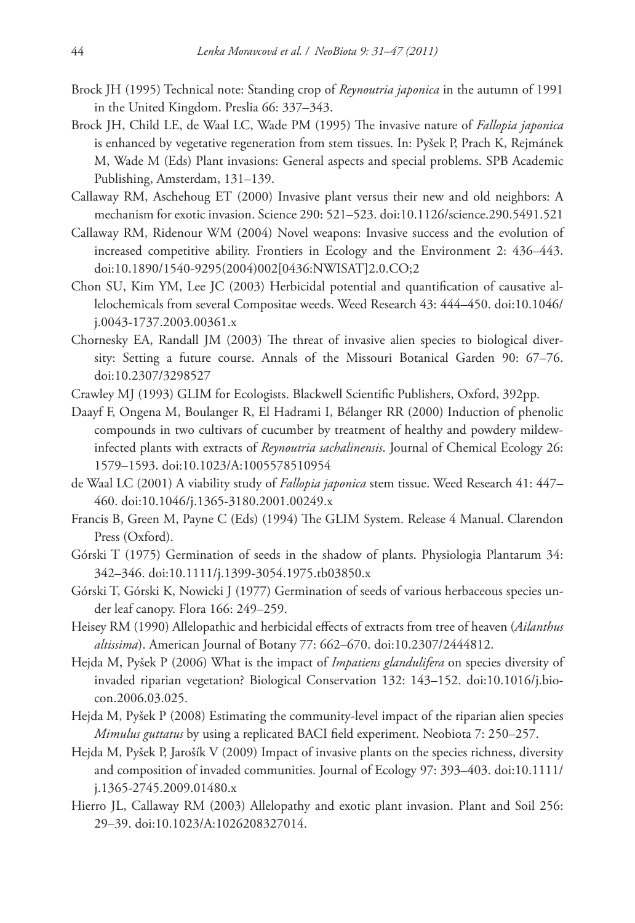- Brock JH (1995) Technical note: Standing crop of *Reynoutria japonica* in the autumn of 1991 in the United Kingdom. Preslia 66: 337–343.
- Brock JH, Child LE, de Waal LC, Wade PM (1995) The invasive nature of *Fallopia japonica*  is enhanced by vegetative regeneration from stem tissues. In: Pyšek P, Prach K, Rejmánek M, Wade M (Eds) Plant invasions: General aspects and special problems. SPB Academic Publishing, Amsterdam, 131–139.
- Callaway RM, Aschehoug ET (2000) Invasive plant versus their new and old neighbors: A mechanism for exotic invasion. Science 290: 521–523. [doi:10.1126/science.290.5491.521](http://dx.doi.org/10.1126/science.290.5491.521)
- Callaway RM, Ridenour WM (2004) Novel weapons: Invasive success and the evolution of increased competitive ability. Frontiers in Ecology and the Environment 2: 436–443. [doi:10.1890/1540-9295\(2004\)002\[0436:NWISAT\]2.0.CO;2](http://dx.doi.org/10.1890/1540-9295(2004)002[0436:NWISAT]2.0.CO;2)
- Chon SU, Kim YM, Lee JC (2003) Herbicidal potential and quantification of causative al[lelochemicals from several Compositae weeds. Weed Research 43: 444–450. doi:10.1046/](http://dx.doi.org/10.1046/j.0043-1737.2003.00361.x) j.0043-1737.2003.00361.x
- Chornesky EA, Randall JM (2003) The threat of invasive alien species to biological diversity: Setting a future course. Annals of the Missouri Botanical Garden 90: 67–76. [doi:10.2307/3298527](http://dx.doi.org/10.2307/3298527)
- Crawley MJ (1993) GLIM for Ecologists. Blackwell Scientific Publishers, Oxford, 392pp.
- Daayf F, Ongena M, Boulanger R, El Hadrami I, Bélanger RR (2000) Induction of phenolic compounds in two cultivars of cucumber by treatment of healthy and powdery mildewinfected plants with extracts of *Reynoutria sachalinensis*. Journal of Chemical Ecology 26: 1579–1593. [doi:10.1023/A:1005578510954](http://dx.doi.org/10.1023/A:1005578510954)
- de Waal LC (2001) A viability study of *Fallopia japonica* stem tissue. Weed Research 41: 447– 460. [doi:10.1046/j.1365-3180.2001.00249.x](http://dx.doi.org/10.1046/j.1365-3180.2001.00249.x)
- Francis B, Green M, Payne C (Eds) (1994) The GLIM System. Release 4 Manual. Clarendon Press (Oxford).
- Górski T (1975) Germination of seeds in the shadow of plants. Physiologia Plantarum 34: 342–346. [doi:10.1111/j.1399-3054.1975.tb03850.x](http://dx.doi.org/10.1111/j.1399-3054.1975.tb03850.x)
- Górski T, Górski K, Nowicki J (1977) Germination of seeds of various herbaceous species under leaf canopy. Flora 166: 249–259.
- Heisey RM (1990) Allelopathic and herbicidal effects of extracts from tree of heaven (*Ailanthus altissima*). American Journal of Botany 77: 662–670. [doi:10.2307/2444812.](http://dx.doi.org/10.2307/2444812)
- Hejda M, Pyšek P (2006) What is the impact of *Impatiens glandulifera* on species diversity of [invaded riparian vegetation? Biological Conservation 132: 143–152. doi:10.1016/j.bio](http://dx.doi.org/10.1016/j.biocon.2006.03.025)con.2006.03.025.
- Hejda M, Pyšek P (2008) Estimating the community-level impact of the riparian alien species *Mimulus guttatus* by using a replicated BACI field experiment. Neobiota 7: 250–257.
- Hejda M, Pyšek P, Jarošík V (2009) Impact of invasive plants on the species richness, diversity [and composition of invaded communities. Journal of Ecology 97: 393–403. doi:10.1111/](http://dx.doi.org/10.1111/j.1365-2745.2009.01480.x) j.1365-2745.2009.01480.x
- Hierro JL, Callaway RM (2003) Allelopathy and exotic plant invasion. Plant and Soil 256: 29–39. [doi:10.1023/A:1026208327014.](http://dx.doi.org/10.1023/A:1026208327014)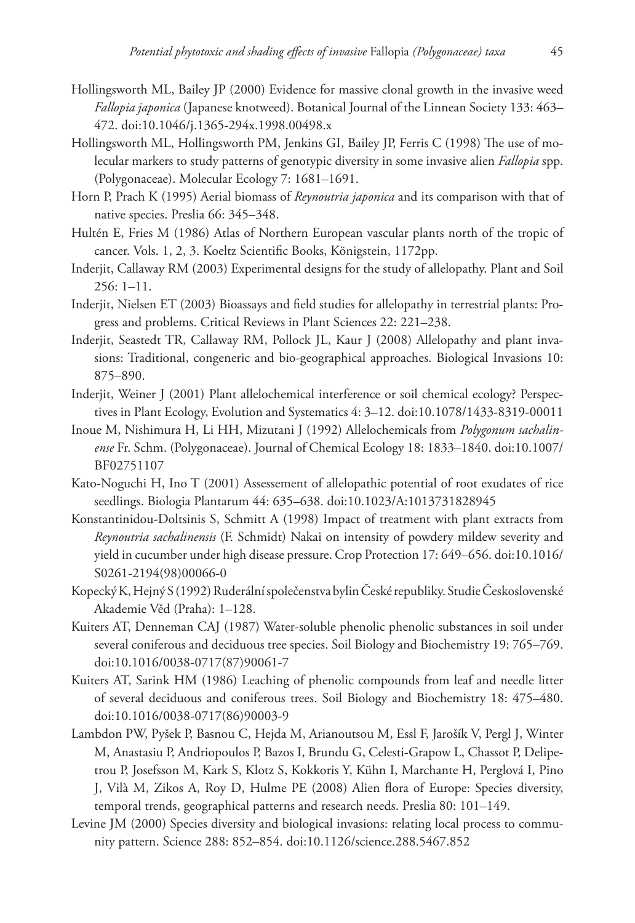- Hollingsworth ML, Bailey JP (2000) Evidence for massive clonal growth in the invasive weed *Fallopia japonica* (Japanese knotweed). Botanical Journal of the Linnean Society 133: 463– 472. [doi:10.1046/j.1365-294x.1998.00498.x](http://dx.doi.org/10.1046/j.1365-294x.1998.00498.x)
- Hollingsworth ML, Hollingsworth PM, Jenkins GI, Bailey JP, Ferris C (1998) The use of molecular markers to study patterns of genotypic diversity in some invasive alien *Fallopia* spp. (Polygonaceae). Molecular Ecology 7: 1681–1691.
- Horn P, Prach K (1995) Aerial biomass of *Reynoutria japonica* and its comparison with that of native species. Preslia 66: 345–348.
- Hultén E, Fries M (1986) Atlas of Northern European vascular plants north of the tropic of cancer. Vols. 1, 2, 3. Koeltz Scientific Books, Königstein, 1172pp.
- Inderjit, Callaway RM (2003) Experimental designs for the study of allelopathy. Plant and Soil 256: 1–11.
- Inderjit, Nielsen ET (2003) Bioassays and field studies for allelopathy in terrestrial plants: Progress and problems. Critical Reviews in Plant Sciences 22: 221–238.
- Inderjit, Seastedt TR, Callaway RM, Pollock JL, Kaur J (2008) Allelopathy and plant invasions: Traditional, congeneric and bio-geographical approaches. Biological Invasions 10: 875–890.
- Inderjit, Weiner J (2001) Plant allelochemical interference or soil chemical ecology? Perspectives in Plant Ecology, Evolution and Systematics 4: 3–12. [doi:10.1078/1433-8319-00011](http://dx.doi.org/10.1078/1433-8319-00011)
- Inoue M, Nishimura H, Li HH, Mizutani J (1992) Allelochemicals from *Polygonum sachalinense* [Fr. Schm. \(Polygonaceae\). Journal of Chemical Ecology 18: 1833–1840. doi:10.1007/](http://dx.doi.org/10.1007/BF02751107) BF02751107
- Kato-Noguchi H, Ino T (2001) Assessement of allelopathic potential of root exudates of rice seedlings. Biologia Plantarum 44: 635–638. [doi:10.1023/A:1013731828945](http://dx.doi.org/10.1023/A:1013731828945)
- Konstantinidou-Doltsinis S, Schmitt A (1998) Impact of treatment with plant extracts from *Reynoutria sachalinensis* (F. Schmidt) Nakai on intensity of powdery mildew severity and [yield in cucumber under high disease pressure. Crop Protection 17: 649–656. doi:10.1016/](http://dx.doi.org/10.1016/S0261-2194(98)00066-0) S0261-2194(98)00066-0
- Kopecký K, Hejný S (1992) Ruderální společenstva bylin České republiky. Studie Československé Akademie Věd (Praha): 1–128.
- Kuiters AT, Denneman CAJ (1987) Water-soluble phenolic phenolic substances in soil under several coniferous and deciduous tree species. Soil Biology and Biochemistry 19: 765–769. [doi:10.1016/0038-0717\(87\)90061-7](http://dx.doi.org/10.1016/0038-0717(87)90061-7)
- Kuiters AT, Sarink HM (1986) Leaching of phenolic compounds from leaf and needle litter of several deciduous and coniferous trees. Soil Biology and Biochemistry 18: 475–480. [doi:10.1016/0038-0717\(86\)90003-9](http://dx.doi.org/10.1016/0038-0717(86)90003-9)
- Lambdon PW, Pyšek P, Basnou C, Hejda M, Arianoutsou M, Essl F, Jarošík V, Pergl J, Winter M, Anastasiu P, Andriopoulos P, Bazos I, Brundu G, Celesti-Grapow L, Chassot P, Delipetrou P, Josefsson M, Kark S, Klotz S, Kokkoris Y, Kühn I, Marchante H, Perglová I, Pino J, Vilà M, Zikos A, Roy D, Hulme PE (2008) Alien flora of Europe: Species diversity, temporal trends, geographical patterns and research needs. Preslia 80: 101–149.
- Levine JM (2000) Species diversity and biological invasions: relating local process to community pattern. Science 288: 852–854. [doi:10.1126/science.288.5467.852](http://dx.doi.org/10.1126/science.288.5467.852)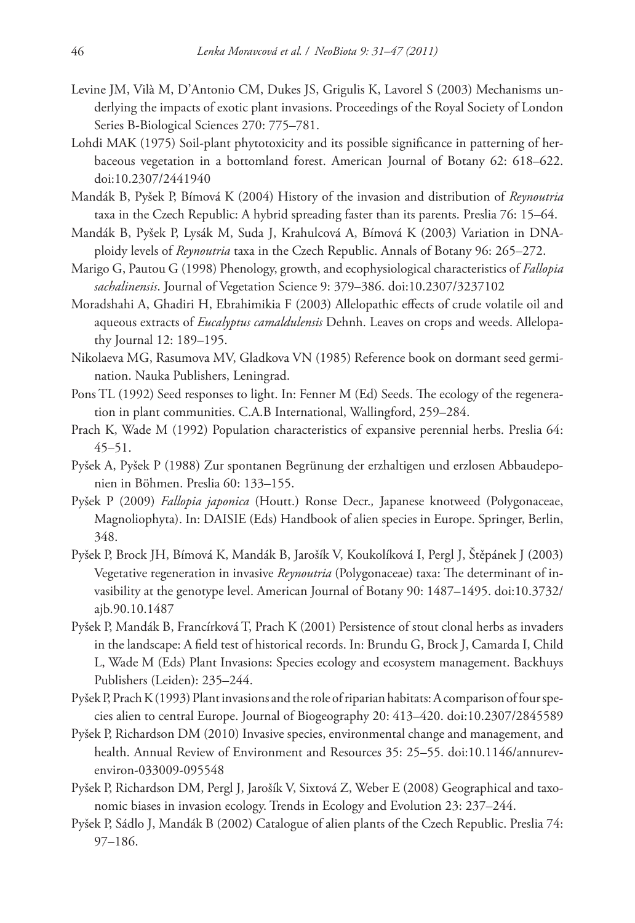- Levine JM, Vilà M, D'Antonio CM, Dukes JS, Grigulis K, Lavorel S (2003) Mechanisms underlying the impacts of exotic plant invasions. Proceedings of the Royal Society of London Series B-Biological Sciences 270: 775–781.
- Lohdi MAK (1975) Soil-plant phytotoxicity and its possible significance in patterning of herbaceous vegetation in a bottomland forest. American Journal of Botany 62: 618–622. [doi:10.2307/2441940](http://dx.doi.org/10.2307/2441940)
- Mandák B, Pyšek P, Bímová K (2004) History of the invasion and distribution of *Reynoutria* taxa in the Czech Republic: A hybrid spreading faster than its parents. Preslia 76: 15–64.
- Mandák B, Pyšek P, Lysák M, Suda J, Krahulcová A, Bímová K (2003) Variation in DNAploidy levels of *Reynoutria* taxa in the Czech Republic. Annals of Botany 96: 265–272.
- Marigo G, Pautou G (1998) Phenology, growth, and ecophysiological characteristics of *Fallopia sachalinensis*. Journal of Vegetation Science 9: 379–386. [doi:10.2307/3237102](http://dx.doi.org/10.2307/3237102)
- Moradshahi A, Ghadiri H, Ebrahimikia F (2003) Allelopathic effects of crude volatile oil and aqueous extracts of *Eucalyptus camaldulensis* Dehnh. Leaves on crops and weeds. Allelopathy Journal 12: 189–195.
- Nikolaeva MG, Rasumova MV, Gladkova VN (1985) Reference book on dormant seed germination. Nauka Publishers, Leningrad.
- Pons TL (1992) Seed responses to light. In: Fenner M (Ed) Seeds. The ecology of the regeneration in plant communities. C.A.B International, Wallingford, 259–284.
- Prach K, Wade M (1992) Population characteristics of expansive perennial herbs. Preslia 64: 45–51.
- Pyšek A, Pyšek P (1988) Zur spontanen Begrünung der erzhaltigen und erzlosen Abbaudeponien in Böhmen. Preslia 60: 133–155.
- Pyšek P (2009) *Fallopia japonica* (Houtt.) Ronse Decr.*,* Japanese knotweed (Polygonaceae, Magnoliophyta). In: DAISIE (Eds) Handbook of alien species in Europe. Springer, Berlin, 348.
- Pyšek P, Brock JH, Bímová K, Mandák B, Jarošík V, Koukolíková I, Pergl J, Štěpánek J (2003) Vegetative regeneration in invasive *Reynoutria* (Polygonaceae) taxa: The determinant of in[vasibility at the genotype level. American Journal of Botany 90: 1487–1495. doi:10.3732/](http://dx.doi.org/10.3732/ajb.90.10.1487) ajb.90.10.1487
- Pyšek P, Mandák B, Francírková T, Prach K (2001) Persistence of stout clonal herbs as invaders in the landscape: A field test of historical records. In: Brundu G, Brock J, Camarda I, Child L, Wade M (Eds) Plant Invasions: Species ecology and ecosystem management. Backhuys Publishers (Leiden): 235–244.
- Pyšek P, Prach K (1993) Plant invasions and the role of riparian habitats: A comparison of four species alien to central Europe. Journal of Biogeography 20: 413–420. [doi:10.2307/2845589](http://dx.doi.org/10.2307/2845589)
- Pyšek P, Richardson DM (2010) Invasive species, environmental change and management, and [health. Annual Review of Environment and Resources 35: 25–55. doi:10.1146/annurev](http://dx.doi.org/10.1146/annurevenviron-033009-095548)environ-033009-095548
- Pyšek P, Richardson DM, Pergl J, Jarošík V, Sixtová Z, Weber E (2008) Geographical and taxonomic biases in invasion ecology. Trends in Ecology and Evolution 23: 237–244.
- Pyšek P, Sádlo J, Mandák B (2002) Catalogue of alien plants of the Czech Republic. Preslia 74: 97–186.